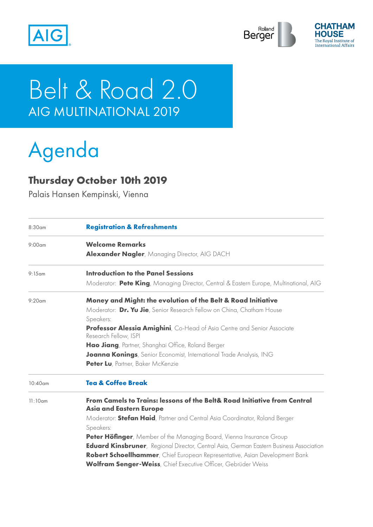



## Belt & Road 2.0 AIG MULTINATIONAL 2019

## Agenda

## **Thursday October 10th 2019**

Palais Hansen Kempinski, Vienna

| $8:30$ am  | <b>Registration &amp; Refreshments</b>                                                                                                                                                                                                                                                                                                                                                                                                                                                                                                    |
|------------|-------------------------------------------------------------------------------------------------------------------------------------------------------------------------------------------------------------------------------------------------------------------------------------------------------------------------------------------------------------------------------------------------------------------------------------------------------------------------------------------------------------------------------------------|
| $9:00$ am  | <b>Welcome Remarks</b><br>Alexander Nagler, Managing Director, AIG DACH                                                                                                                                                                                                                                                                                                                                                                                                                                                                   |
| $9:15$ am  | <b>Introduction to the Panel Sessions</b><br>Moderator: Pete King, Managing Director, Central & Eastern Europe, Multinational, AIG                                                                                                                                                                                                                                                                                                                                                                                                        |
| $9:20$ am  | Money and Might: the evolution of the Belt & Road Initiative<br>Moderator: Dr. Yu Jie, Senior Research Fellow on China, Chatham House<br>Speakers:<br>Professor Alessia Amighini, Co-Head of Asia Centre and Senior Associate<br>Research Fellow, ISPI<br>Hao Jiang, Partner, Shanghai Office, Roland Berger<br>Joanna Konings, Senior Economist, International Trade Analysis, ING<br>Peter Lu, Partner, Baker McKenzie                                                                                                                  |
| $10:40$ am | <b>Tea &amp; Coffee Break</b>                                                                                                                                                                                                                                                                                                                                                                                                                                                                                                             |
| $11:10$ am | From Camels to Trains: lessons of the Belt& Road Initiative from Central<br><b>Asia and Eastern Europe</b><br>Moderator: Stefan Haid, Partner and Central Asia Coordinator, Roland Berger<br>Speakers:<br>Peter Höfinger, Member of the Managing Board, Vienna Insurance Group<br><b>Eduard Kinsbruner</b> , Regional Director, Central Asia, German Eastern Business Association<br>Robert Schoellhammer, Chief European Representative, Asian Development Bank<br><b>Wolfram Senger-Weiss</b> , Chief Executive Officer, Gebrüder Weiss |